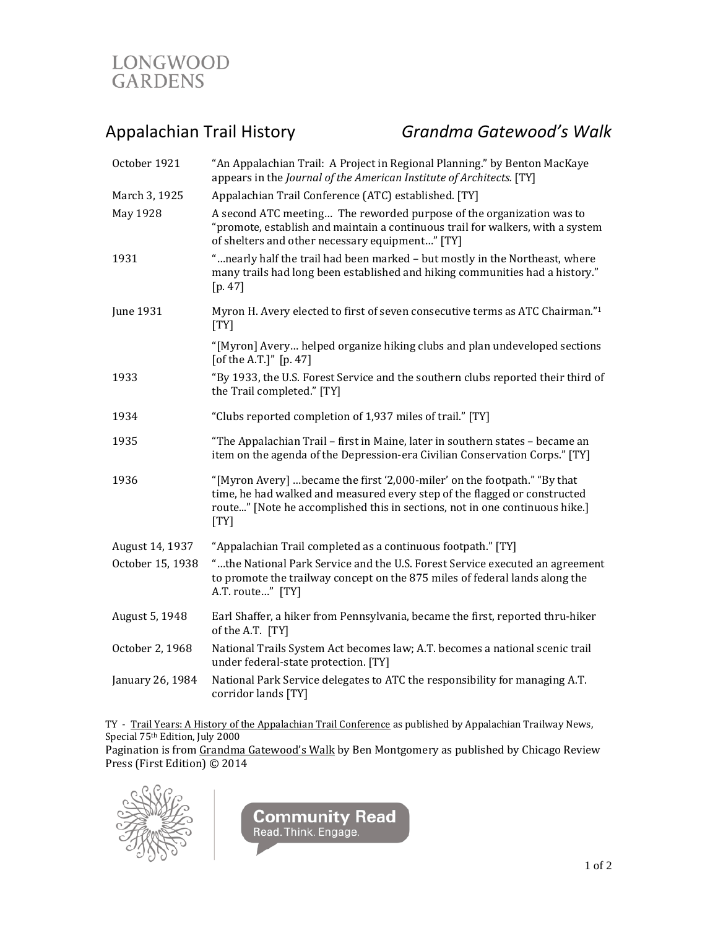

Appalachian Trail History *Grandma Gatewood's Walk*

| October 1921     | "An Appalachian Trail: A Project in Regional Planning." by Benton MacKaye<br>appears in the Journal of the American Institute of Architects. [TY]                                                                                            |
|------------------|----------------------------------------------------------------------------------------------------------------------------------------------------------------------------------------------------------------------------------------------|
| March 3, 1925    | Appalachian Trail Conference (ATC) established. [TY]                                                                                                                                                                                         |
| May 1928         | A second ATC meeting The reworded purpose of the organization was to<br>"promote, establish and maintain a continuous trail for walkers, with a system<br>of shelters and other necessary equipment" [TY]                                    |
| 1931             | "nearly half the trail had been marked - but mostly in the Northeast, where<br>many trails had long been established and hiking communities had a history."<br>[p. 47]                                                                       |
| June 1931        | Myron H. Avery elected to first of seven consecutive terms as ATC Chairman."1<br>[TY]                                                                                                                                                        |
|                  | "[Myron] Avery helped organize hiking clubs and plan undeveloped sections<br>[of the A.T.]" [p. 47]                                                                                                                                          |
| 1933             | "By 1933, the U.S. Forest Service and the southern clubs reported their third of<br>the Trail completed." [TY]                                                                                                                               |
| 1934             | "Clubs reported completion of 1,937 miles of trail." [TY]                                                                                                                                                                                    |
| 1935             | "The Appalachian Trail - first in Maine, later in southern states - became an<br>item on the agenda of the Depression-era Civilian Conservation Corps." [TY]                                                                                 |
| 1936             | "[Myron Avery] became the first '2,000-miler' on the footpath." "By that<br>time, he had walked and measured every step of the flagged or constructed<br>route" [Note he accomplished this in sections, not in one continuous hike.]<br>[TY] |
| August 14, 1937  | "Appalachian Trail completed as a continuous footpath." [TY]                                                                                                                                                                                 |
| October 15, 1938 | "the National Park Service and the U.S. Forest Service executed an agreement<br>to promote the trailway concept on the 875 miles of federal lands along the<br>A.T. route" [TY]                                                              |
| August 5, 1948   | Earl Shaffer, a hiker from Pennsylvania, became the first, reported thru-hiker<br>of the A.T. [TY]                                                                                                                                           |
| October 2, 1968  | National Trails System Act becomes law; A.T. becomes a national scenic trail<br>under federal-state protection. [TY]                                                                                                                         |
| January 26, 1984 | National Park Service delegates to ATC the responsibility for managing A.T.<br>corridor lands [TY]                                                                                                                                           |
|                  |                                                                                                                                                                                                                                              |

TY - <u>Trail Years: A History of the Appalachian Trail Conference</u> as published by Appalachian Trailway News, Special 75th Edition, July 2000 Pagination is from Grandma Gatewood's Walk by Ben Montgomery as published by Chicago Review

Press (First Edition) © 2014



**Community Read**<br>Read. Think. Engage.